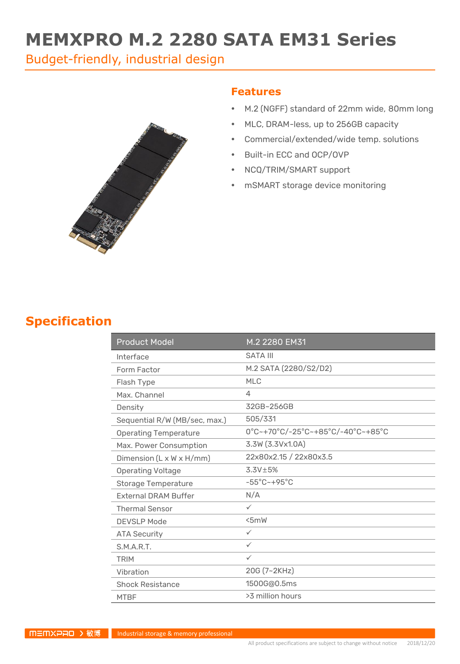# **MEMXPRO M.2 2280 SATA EM31 Series**

Budget-friendly, industrial design



#### **Features**

- M.2 (NGFF) standard of 22mm wide, 80mm long
- MLC, DRAM-less, up to 256GB capacity
- Commercial/extended/wide temp. solutions
- Built-in ECC and OCP/OVP
- NCQ/TRIM/SMART support
- mSMART storage device monitoring

### **Specification**

| <b>Product Model</b>                 | M.2 2280 EM31                     |
|--------------------------------------|-----------------------------------|
| Interface                            | <b>SATA III</b>                   |
| Form Factor                          | M.2 SATA (2280/S2/D2)             |
| Flash Type                           | MI C                              |
| Max. Channel                         | 4                                 |
| Density                              | 32GB~256GB                        |
| Sequential R/W (MB/sec, max.)        | 505/331                           |
| <b>Operating Temperature</b>         | 0°C~+70°C/-25°C~+85°C/-40°C~+85°C |
| Max. Power Consumption               | 3.3W (3.3Vx1.0A)                  |
| Dimension $(L \times W \times H/mm)$ | 22x80x2.15 / 22x80x3.5            |
| <b>Operating Voltage</b>             | $3.3V \pm 5%$                     |
| <b>Storage Temperature</b>           | $-55^{\circ}$ C $-+95^{\circ}$ C  |
| <b>External DRAM Buffer</b>          | N/A                               |
| <b>Thermal Sensor</b>                | $\checkmark$                      |
| <b>DEVSLP Mode</b>                   | 5mW                               |
| <b>ATA Security</b>                  | $\checkmark$                      |
| S.M.A.R.T.                           | $\checkmark$                      |
| <b>TRIM</b>                          | $\checkmark$                      |
| Vibration                            | 20G (7~2KHz)                      |
| <b>Shock Resistance</b>              | 1500G@0.5ms                       |
| <b>MTBF</b>                          | >3 million hours                  |